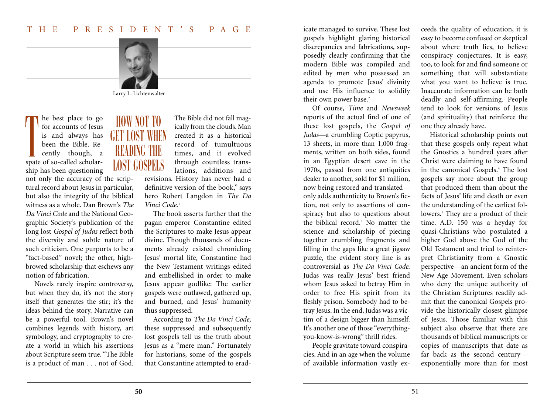

Larry L. Lichtenwalter

he best place to go for accounts of Jesus is and always has been the Bible. Recently though, a spate of so-called scholarship has been questioning T

not only the accuracy of the scriptural record about Jesus in particular, but also the integrity of the biblical witness as a whole. Dan Brown's *The Da Vinci Code* and the National Geographic Society's publication of the long lost *Gospel of Judas* reflect both the diversity and subtle nature of such criticism. One purports to be a "fact-based" novel; the other, highbrowed scholarship that eschews any notion of fabrication.

Novels rarely inspire controversy, but when they do, it's not the story itself that generates the stir; it's the ideas behind the story. Narrative can be a powerful tool. Brown's novel combines legends with history, art symbology, and cryptography to create a world in which his assertions about Scripture seem true. "The Bible is a product of man . . . not of God.

HOW NOT TO **GET LOST WHE** READING THE LOST GOSPELS

The Bible did not fall magically from the clouds. Man created it as a historical record of tumultuous times, and it evolved through countless translations, additions and revisions. History has never had a definitive version of the book," says hero Robert Langdon in *The Da Vinci Code.*<sup>1</sup>

The book asserts further that the pagan emperor Constantine edited the Scriptures to make Jesus appear divine. Though thousands of documents already existed chronicling Jesus' mortal life, Constantine had the New Testament writings edited and embellished in order to make Jesus appear godlike: The earlier gospels were outlawed, gathered up, and burned, and Jesus' humanity thus suppressed.

According to *The Da Vinci Code*, these suppressed and subsequently lost gospels tell us the truth about Jesus as a "mere man." Fortunately for historians, some of the gospels that Constantine attempted to eradicate managed to survive. These lost gospels highlight glaring historical discrepancies and fabrications, supposedly clearly confirming that the modern Bible was compiled and edited by men who possessed an agenda to promote Jesus' divinity and use His influence to solidify their own power base.<sup>2</sup>

Of course, *Time* and *Newsweek* reports of the actual find of one of these lost gospels, the *Gospel of Judas*—a crumbling Coptic papyrus, 13 sheets, in more than 1,000 fragments, written on both sides, found in an Egyptian desert cave in the 1970s, passed from one antiquities dealer to another, sold for \$1 million, now being restored and translated only adds authenticity to Brown's fiction, not only to assertions of conspiracy but also to questions about the biblical record.3 No matter the science and scholarship of piecing together crumbling fragments and filling in the gaps like a great jigsaw puzzle, the evident story line is as controversial as *The Da Vinci Code*. Judas was really Jesus' best friend whom Jesus asked to betray Him in order to free His spirit from its fleshly prison. Somebody had to betray Jesus. In the end, Judas was a victim of a design bigger than himself. It's another one of those "everythingyou-know-is-wrong" thrill rides.

People gravitate toward conspiracies. And in an age when the volume of available information vastly exceeds the quality of education, it is easy to become confused or skeptical about where truth lies, to believe conspiracy conjectures. It is easy, too, to look for and find someone or something that will substantiate what you want to believe is true. Inaccurate information can be both deadly and self-affirming. People tend to look for versions of Jesus (and spirituality) that reinforce the one they already have.

Historical scholarship points out that these gospels only repeat what the Gnostics a hundred years after Christ were claiming to have found in the canonical Gospels.4 The lost gospels say more about the group that produced them than about the facts of Jesus' life and death or even the understanding of the earliest followers.<sup>5</sup> They are a product of their time. A.D. 150 was a heyday for quasi-Christians who postulated a higher God above the God of the Old Testament and tried to reinterpret Christianity from a Gnostic perspective—an ancient form of the New Age Movement. Even scholars who deny the unique authority of the Christian Scriptures readily admit that the canonical Gospels provide the historically closest glimpse of Jesus. Those familiar with this subject also observe that there are thousands of biblical manuscripts or copies of manuscripts that date as far back as the second century exponentially more than for most